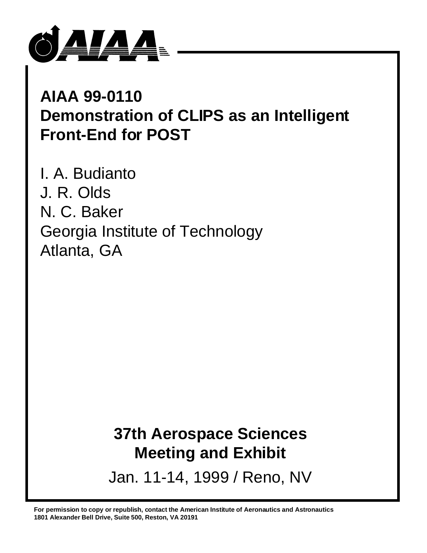

# **AIAA 99-0110 Demonstration of CLIPS as an Intelligent Front-End for POST**

I. A. Budianto J. R. Olds N. C. Baker Georgia Institute of Technology Atlanta, GA

# **37th Aerospace Sciences Meeting and Exhibit**

Jan. 11-14, 1999 / Reno, NV

**For permission to copy or republish, contact the American Institute of Aeronautics and Astronautics 1801 Alexander Bell Drive, Suite 500, Reston, VA 20191**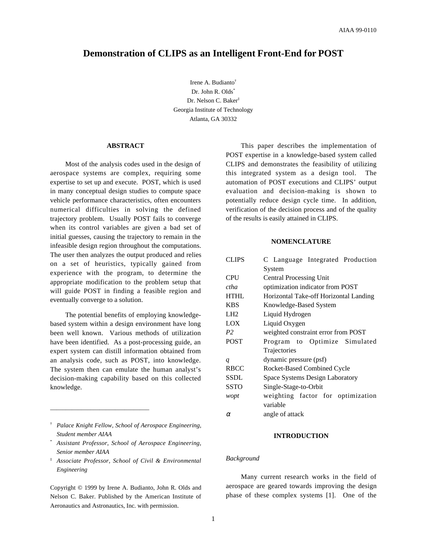# **Demonstration of CLIPS as an Intelligent Front-End for POST**

Irene A. Budianto† Dr. John R. Olds\* Dr. Nelson C. Baker‡ Georgia Institute of Technology Atlanta, GA 30332

# **ABSTRACT**

Most of the analysis codes used in the design of aerospace systems are complex, requiring some expertise to set up and execute. POST, which is used in many conceptual design studies to compute space vehicle performance characteristics, often encounters numerical difficulties in solving the defined trajectory problem. Usually POST fails to converge when its control variables are given a bad set of initial guesses, causing the trajectory to remain in the infeasible design region throughout the computations. The user then analyzes the output produced and relies on a set of heuristics, typically gained from experience with the program, to determine the appropriate modification to the problem setup that will guide POST in finding a feasible region and eventually converge to a solution.

The potential benefits of employing knowledgebased system within a design environment have long been well known. Various methods of utilization have been identified. As a post-processing guide, an expert system can distill information obtained from an analysis code, such as POST, into knowledge. The system then can emulate the human analyst's decision-making capability based on this collected knowledge.

\_\_\_\_\_\_\_\_\_\_\_\_\_\_\_\_\_\_\_\_\_\_\_\_\_\_\_\_\_\_\_\_

‡ *Associate Professor, School of Civil & Environmental Engineering*

Copyright © 1999 by Irene A. Budianto, John R. Olds and Nelson C. Baker. Published by the American Institute of Aeronautics and Astronautics, Inc. with permission.

This paper describes the implementation of POST expertise in a knowledge-based system called CLIPS and demonstrates the feasibility of utilizing this integrated system as a design tool. The automation of POST executions and CLIPS' output evaluation and decision-making is shown to potentially reduce design cycle time. In addition, verification of the decision process and of the quality of the results is easily attained in CLIPS.

# **NOMENCLATURE**

| <b>CLIPS</b>     | C Language Integrated Production       |  |  |  |  |  |
|------------------|----------------------------------------|--|--|--|--|--|
|                  | System                                 |  |  |  |  |  |
| <b>CPU</b>       | <b>Central Processing Unit</b>         |  |  |  |  |  |
| ctha             | optimization indicator from POST       |  |  |  |  |  |
| <b>HTHL</b>      | Horizontal Take-off Horizontal Landing |  |  |  |  |  |
| <b>KBS</b>       | Knowledge-Based System                 |  |  |  |  |  |
| LH <sub>2</sub>  | Liquid Hydrogen                        |  |  |  |  |  |
| LOX              | Liquid Oxygen                          |  |  |  |  |  |
| P <sub>2</sub>   | weighted constraint error from POST    |  |  |  |  |  |
| <b>POST</b>      | Program to Optimize Simulated          |  |  |  |  |  |
|                  | Trajectories                           |  |  |  |  |  |
| $\boldsymbol{q}$ | dynamic pressure (psf)                 |  |  |  |  |  |
| <b>RBCC</b>      | Rocket-Based Combined Cycle            |  |  |  |  |  |
| <b>SSDL</b>      | Space Systems Design Laboratory        |  |  |  |  |  |
| <b>SSTO</b>      | Single-Stage-to-Orbit                  |  |  |  |  |  |
| wopt             | weighting factor for optimization      |  |  |  |  |  |
|                  | variable                               |  |  |  |  |  |
| $\alpha$         | angle of attack                        |  |  |  |  |  |

## **INTRODUCTION**

## *Background*

Many current research works in the field of aerospace are geared towards improving the design phase of these complex systems [1]. One of the

<sup>†</sup> *Palace Knight Fellow, School of Aerospace Engineering, Student member AIAA*

<sup>\*</sup> *Assistant Professor, School of Aerospace Engineering, Senior member AIAA*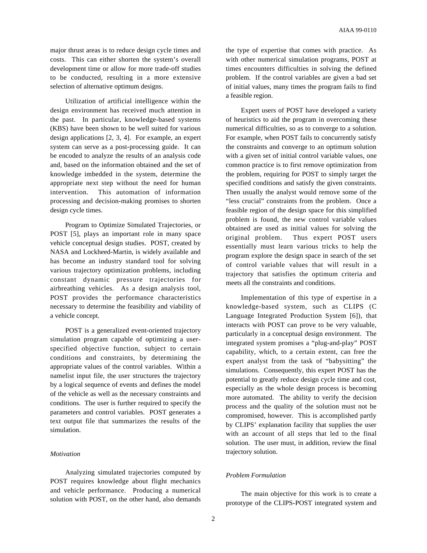major thrust areas is to reduce design cycle times and costs. This can either shorten the system's overall development time or allow for more trade-off studies to be conducted, resulting in a more extensive selection of alternative optimum designs.

Utilization of artificial intelligence within the design environment has received much attention in the past. In particular, knowledge-based systems (KBS) have been shown to be well suited for various design applications [2, 3, 4]. For example, an expert system can serve as a post-processing guide. It can be encoded to analyze the results of an analysis code and, based on the information obtained and the set of knowledge imbedded in the system, determine the appropriate next step without the need for human intervention. This automation of information processing and decision-making promises to shorten design cycle times.

Program to Optimize Simulated Trajectories, or POST [5], plays an important role in many space vehicle conceptual design studies. POST, created by NASA and Lockheed-Martin, is widely available and has become an industry standard tool for solving various trajectory optimization problems, including constant dynamic pressure trajectories for airbreathing vehicles. As a design analysis tool, POST provides the performance characteristics necessary to determine the feasibility and viability of a vehicle concept.

POST is a generalized event-oriented trajectory simulation program capable of optimizing a userspecified objective function, subject to certain conditions and constraints, by determining the appropriate values of the control variables. Within a namelist input file, the user structures the trajectory by a logical sequence of events and defines the model of the vehicle as well as the necessary constraints and conditions. The user is further required to specify the parameters and control variables. POST generates a text output file that summarizes the results of the simulation.

# *Motivation*

Analyzing simulated trajectories computed by POST requires knowledge about flight mechanics and vehicle performance. Producing a numerical solution with POST, on the other hand, also demands the type of expertise that comes with practice. As with other numerical simulation programs, POST at times encounters difficulties in solving the defined problem. If the control variables are given a bad set of initial values, many times the program fails to find a feasible region.

Expert users of POST have developed a variety of heuristics to aid the program in overcoming these numerical difficulties, so as to converge to a solution. For example, when POST fails to concurrently satisfy the constraints and converge to an optimum solution with a given set of initial control variable values, one common practice is to first remove optimization from the problem, requiring for POST to simply target the specified conditions and satisfy the given constraints. Then usually the analyst would remove some of the "less crucial" constraints from the problem. Once a feasible region of the design space for this simplified problem is found, the new control variable values obtained are used as initial values for solving the original problem. Thus expert POST users essentially must learn various tricks to help the program explore the design space in search of the set of control variable values that will result in a trajectory that satisfies the optimum criteria and meets all the constraints and conditions.

Implementation of this type of expertise in a knowledge-based system, such as CLIPS (C Language Integrated Production System [6]), that interacts with POST can prove to be very valuable, particularly in a conceptual design environment. The integrated system promises a "plug-and-play" POST capability, which, to a certain extent, can free the expert analyst from the task of "babysitting" the simulations. Consequently, this expert POST has the potential to greatly reduce design cycle time and cost, especially as the whole design process is becoming more automated. The ability to verify the decision process and the quality of the solution must not be compromised, however. This is accomplished partly by CLIPS' explanation facility that supplies the user with an account of all steps that led to the final solution. The user must, in addition, review the final trajectory solution.

## *Problem Formulation*

The main objective for this work is to create a prototype of the CLIPS-POST integrated system and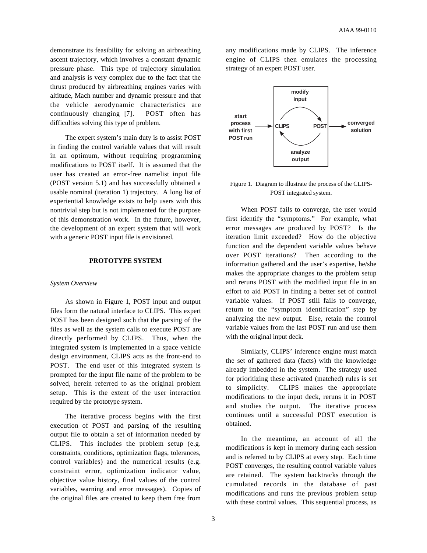demonstrate its feasibility for solving an airbreathing ascent trajectory, which involves a constant dynamic pressure phase. This type of trajectory simulation and analysis is very complex due to the fact that the thrust produced by airbreathing engines varies with altitude, Mach number and dynamic pressure and that the vehicle aerodynamic characteristics are continuously changing [7]. POST often has difficulties solving this type of problem.

The expert system's main duty is to assist POST in finding the control variable values that will result in an optimum, without requiring programming modifications to POST itself. It is assumed that the user has created an error-free namelist input file (POST version 5.1) and has successfully obtained a usable nominal (iteration 1) trajectory. A long list of experiential knowledge exists to help users with this nontrivial step but is not implemented for the purpose of this demonstration work. In the future, however, the development of an expert system that will work with a generic POST input file is envisioned.

## **PROTOTYPE SYSTEM**

#### *System Overview*

As shown in Figure 1, POST input and output files form the natural interface to CLIPS. This expert POST has been designed such that the parsing of the files as well as the system calls to execute POST are directly performed by CLIPS. Thus, when the integrated system is implemented in a space vehicle design environment, CLIPS acts as the front-end to POST. The end user of this integrated system is prompted for the input file name of the problem to be solved, herein referred to as the original problem setup. This is the extent of the user interaction required by the prototype system.

The iterative process begins with the first execution of POST and parsing of the resulting output file to obtain a set of information needed by CLIPS. This includes the problem setup (e.g. constraints, conditions, optimization flags, tolerances, control variables) and the numerical results (e.g. constraint error, optimization indicator value, objective value history, final values of the control variables, warning and error messages). Copies of the original files are created to keep them free from any modifications made by CLIPS. The inference engine of CLIPS then emulates the processing strategy of an expert POST user.



Figure 1. Diagram to illustrate the process of the CLIPS-POST integrated system.

When POST fails to converge, the user would first identify the "symptoms." For example, what error messages are produced by POST? Is the iteration limit exceeded? How do the objective function and the dependent variable values behave over POST iterations? Then according to the information gathered and the user's expertise, he/she makes the appropriate changes to the problem setup and reruns POST with the modified input file in an effort to aid POST in finding a better set of control variable values. If POST still fails to converge, return to the "symptom identification" step by analyzing the new output. Else, retain the control variable values from the last POST run and use them with the original input deck.

Similarly, CLIPS' inference engine must match the set of gathered data (facts) with the knowledge already imbedded in the system. The strategy used for prioritizing these activated (matched) rules is set to simplicity. CLIPS makes the appropriate modifications to the input deck, reruns it in POST and studies the output. The iterative process continues until a successful POST execution is obtained.

In the meantime, an account of all the modifications is kept in memory during each session and is referred to by CLIPS at every step. Each time POST converges, the resulting control variable values are retained. The system backtracks through the cumulated records in the database of past modifications and runs the previous problem setup with these control values. This sequential process, as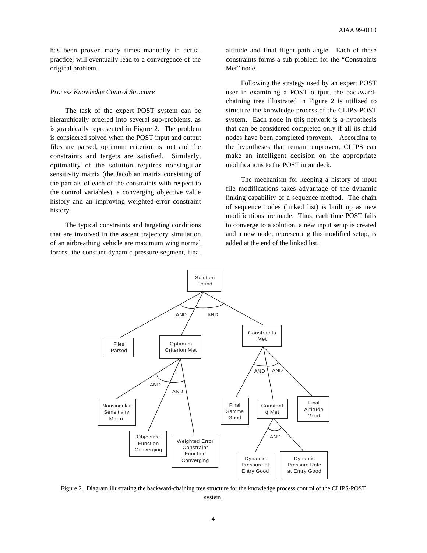has been proven many times manually in actual practice, will eventually lead to a convergence of the original problem.

#### *Process Knowledge Control Structure*

The task of the expert POST system can be hierarchically ordered into several sub-problems, as is graphically represented in Figure 2. The problem is considered solved when the POST input and output files are parsed, optimum criterion is met and the constraints and targets are satisfied. Similarly, optimality of the solution requires nonsingular sensitivity matrix (the Jacobian matrix consisting of the partials of each of the constraints with respect to the control variables), a converging objective value history and an improving weighted-error constraint history.

The typical constraints and targeting conditions that are involved in the ascent trajectory simulation of an airbreathing vehicle are maximum wing normal forces, the constant dynamic pressure segment, final

altitude and final flight path angle. Each of these constraints forms a sub-problem for the "Constraints Met" node.

Following the strategy used by an expert POST user in examining a POST output, the backwardchaining tree illustrated in Figure 2 is utilized to structure the knowledge process of the CLIPS-POST system. Each node in this network is a hypothesis that can be considered completed only if all its child nodes have been completed (proven). According to the hypotheses that remain unproven, CLIPS can make an intelligent decision on the appropriate modifications to the POST input deck.

The mechanism for keeping a history of input file modifications takes advantage of the dynamic linking capability of a sequence method. The chain of sequence nodes (linked list) is built up as new modifications are made. Thus, each time POST fails to converge to a solution, a new input setup is created and a new node, representing this modified setup, is added at the end of the linked list.



Figure 2. Diagram illustrating the backward-chaining tree structure for the knowledge process control of the CLIPS-POST system.

4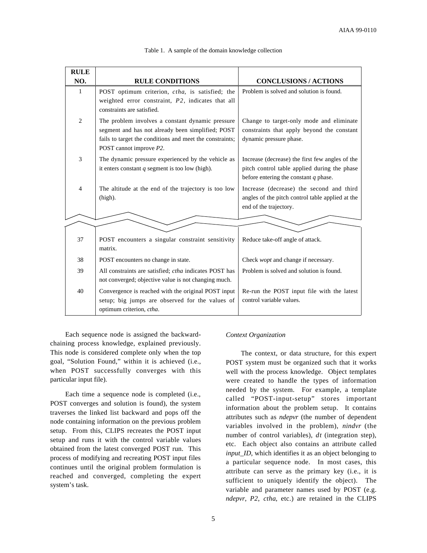| <b>RULE</b>    |                                                                                                                                                                                              |                                                                                                                                            |  |  |  |
|----------------|----------------------------------------------------------------------------------------------------------------------------------------------------------------------------------------------|--------------------------------------------------------------------------------------------------------------------------------------------|--|--|--|
| NO.            | <b>RULE CONDITIONS</b>                                                                                                                                                                       | <b>CONCLUSIONS / ACTIONS</b>                                                                                                               |  |  |  |
| $\mathbf{1}$   | POST optimum criterion, ctha, is satisfied; the<br>weighted error constraint, P2, indicates that all<br>constraints are satisfied.                                                           | Problem is solved and solution is found.                                                                                                   |  |  |  |
| 2              | The problem involves a constant dynamic pressure<br>segment and has not already been simplified; POST<br>fails to target the conditions and meet the constraints;<br>POST cannot improve P2. | Change to target-only mode and eliminate<br>constraints that apply beyond the constant<br>dynamic pressure phase.                          |  |  |  |
| 3              | The dynamic pressure experienced by the vehicle as<br>it enters constant $q$ segment is too low (high).                                                                                      | Increase (decrease) the first few angles of the<br>pitch control table applied during the phase<br>before entering the constant $q$ phase. |  |  |  |
| $\overline{4}$ | The altitude at the end of the trajectory is too low<br>(high).                                                                                                                              | Increase (decrease) the second and third<br>angles of the pitch control table applied at the<br>end of the trajectory.                     |  |  |  |
|                |                                                                                                                                                                                              |                                                                                                                                            |  |  |  |
| 37             | POST encounters a singular constraint sensitivity<br>matrix.                                                                                                                                 | Reduce take-off angle of attack.                                                                                                           |  |  |  |
| 38             | POST encounters no change in state.                                                                                                                                                          | Check <i>wopt</i> and change if necessary.                                                                                                 |  |  |  |
| 39             | All constraints are satisfied; <i>ctha</i> indicates POST has<br>not converged; objective value is not changing much.                                                                        | Problem is solved and solution is found.                                                                                                   |  |  |  |
| 40             | Convergence is reached with the original POST input<br>setup; big jumps are observed for the values of<br>optimum criterion, ctha.                                                           | Re-run the POST input file with the latest<br>control variable values.                                                                     |  |  |  |

## Table 1. A sample of the domain knowledge collection

Each sequence node is assigned the backwardchaining process knowledge, explained previously. This node is considered complete only when the top goal, "Solution Found," within it is achieved (i.e., when POST successfully converges with this particular input file).

Each time a sequence node is completed (i.e., POST converges and solution is found), the system traverses the linked list backward and pops off the node containing information on the previous problem setup. From this, CLIPS recreates the POST input setup and runs it with the control variable values obtained from the latest converged POST run. This process of modifying and recreating POST input files continues until the original problem formulation is reached and converged, completing the expert system's task.

## *Context Organization*

The context, or data structure, for this expert POST system must be organized such that it works well with the process knowledge. Object templates were created to handle the types of information needed by the system. For example, a template called "POST-input-setup" stores important information about the problem setup. It contains attributes such as *ndepvr* (the number of dependent variables involved in the problem), *nindvr* (the number of control variables), *dt* (integration step), etc. Each object also contains an attribute called *input\_ID*, which identifies it as an object belonging to a particular sequence node. In most cases, this attribute can serve as the primary key (i.e., it is sufficient to uniquely identify the object). The variable and parameter names used by POST (e.g. *ndepvr*, *P2*, *ctha*, etc.) are retained in the CLIPS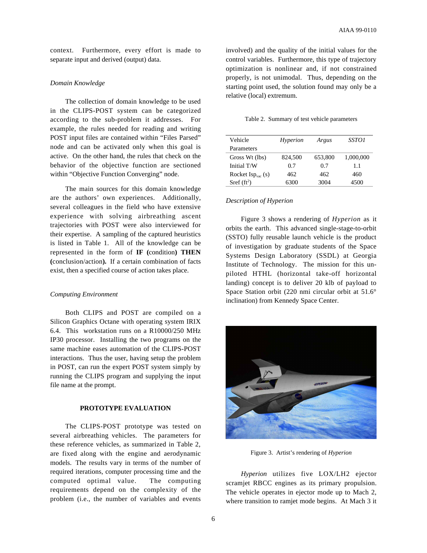context. Furthermore, every effort is made to separate input and derived (output) data.

## *Domain Knowledge*

The collection of domain knowledge to be used in the CLIPS-POST system can be categorized according to the sub-problem it addresses. For example, the rules needed for reading and writing POST input files are contained within "Files Parsed" node and can be activated only when this goal is active. On the other hand, the rules that check on the behavior of the objective function are sectioned within "Objective Function Converging" node.

The main sources for this domain knowledge are the authors' own experiences. Additionally, several colleagues in the field who have extensive experience with solving airbreathing ascent trajectories with POST were also interviewed for their expertise. A sampling of the captured heuristics is listed in Table 1. All of the knowledge can be represented in the form of **IF (**condition**) THEN (**conclusion/action**).** If a certain combination of facts exist, then a specified course of action takes place.

#### *Computing Environment*

Both CLIPS and POST are compiled on a Silicon Graphics Octane with operating system IRIX 6.4. This workstation runs on a R10000/250 MHz IP30 processor. Installing the two programs on the same machine eases automation of the CLIPS-POST interactions. Thus the user, having setup the problem in POST, can run the expert POST system simply by running the CLIPS program and supplying the input file name at the prompt.

## **PROTOTYPE EVALUATION**

The CLIPS-POST prototype was tested on several airbreathing vehicles. The parameters for these reference vehicles, as summarized in Table 2, are fixed along with the engine and aerodynamic models. The results vary in terms of the number of required iterations, computer processing time and the computed optimal value. The computing requirements depend on the complexity of the problem (i.e., the number of variables and events involved) and the quality of the initial values for the control variables. Furthermore, this type of trajectory optimization is nonlinear and, if not constrained properly, is not unimodal. Thus, depending on the starting point used, the solution found may only be a relative (local) extremum.

Table 2. Summary of test vehicle parameters

| Vehicle                                    | Hyperion | Argus   | <i>SSTO1</i> |
|--------------------------------------------|----------|---------|--------------|
| Parameters                                 |          |         |              |
| Gross Wt (lbs)                             | 824,500  | 653,800 | 1,000,000    |
| Initial T/W                                | 0.7      | 0.7     | 1.1          |
| Rocket $\text{Isp}_{\text{vac}}(\text{s})$ | 462      | 462     | 460          |
| Sref $(ft^2)$                              | 6300     | 3004    | 4500         |

#### *Description of Hyperion*

Figure 3 shows a rendering of *Hyperion* as it orbits the earth. This advanced single-stage-to-orbit (SSTO) fully reusable launch vehicle is the product of investigation by graduate students of the Space Systems Design Laboratory (SSDL) at Georgia Institute of Technology. The mission for this unpiloted HTHL (horizontal take-off horizontal landing) concept is to deliver 20 klb of payload to Space Station orbit (220 nmi circular orbit at 51.6° inclination) from Kennedy Space Center.



Figure 3. Artist's rendering of *Hyperion*

*Hyperion* utilizes five LOX/LH2 ejector scramjet RBCC engines as its primary propulsion. The vehicle operates in ejector mode up to Mach 2, where transition to ramjet mode begins. At Mach 3 it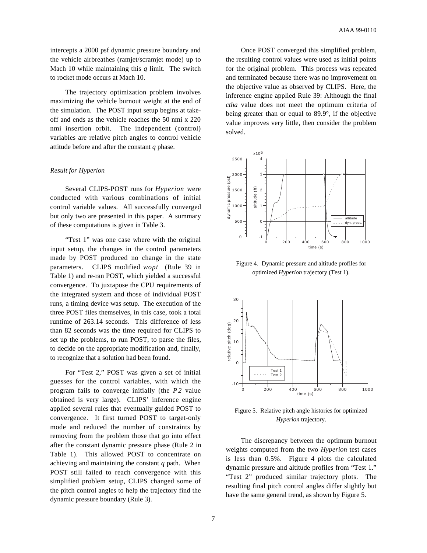intercepts a 2000 psf dynamic pressure boundary and the vehicle airbreathes (ramjet/scramjet mode) up to Mach 10 while maintaining this *q* limit. The switch to rocket mode occurs at Mach 10.

The trajectory optimization problem involves maximizing the vehicle burnout weight at the end of the simulation. The POST input setup begins at takeoff and ends as the vehicle reaches the 50 nmi x 220 nmi insertion orbit. The independent (control) variables are relative pitch angles to control vehicle attitude before and after the constant *q* phase.

#### *Result for Hyperion*

Several CLIPS-POST runs for *Hyperion* were conducted with various combinations of initial control variable values. All successfully converged but only two are presented in this paper. A summary of these computations is given in Table 3.

"Test 1" was one case where with the original input setup, the changes in the control parameters made by POST produced no change in the state parameters. CLIPS modified *wopt* (Rule 39 in Table 1) and re-ran POST, which yielded a successful convergence. To juxtapose the CPU requirements of the integrated system and those of individual POST runs, a timing device was setup. The execution of the three POST files themselves, in this case, took a total runtime of 263.14 seconds. This difference of less than 82 seconds was the time required for CLIPS to set up the problems, to run POST, to parse the files, to decide on the appropriate modification and, finally, to recognize that a solution had been found.

For "Test 2," POST was given a set of initial guesses for the control variables, with which the program fails to converge initially (the P2 value obtained is very large). CLIPS' inference engine applied several rules that eventually guided POST to convergence. It first turned POST to target-only mode and reduced the number of constraints by removing from the problem those that go into effect after the constant dynamic pressure phase (Rule 2 in Table 1). This allowed POST to concentrate on achieving and maintaining the constant *q* path. When POST still failed to reach convergence with this simplified problem setup, CLIPS changed some of the pitch control angles to help the trajectory find the dynamic pressure boundary (Rule 3).

Once POST converged this simplified problem, the resulting control values were used as initial points for the original problem. This process was repeated and terminated because there was no improvement on the objective value as observed by CLIPS. Here, the inference engine applied Rule 39: Although the final *ctha* value does not meet the optimum criteria of being greater than or equal to 89.9°, if the objective value improves very little, then consider the problem solved.



Figure 4. Dynamic pressure and altitude profiles for optimized *Hyperion* trajectory (Test 1).



Figure 5. Relative pitch angle histories for optimized *Hyperion* trajectory.

The discrepancy between the optimum burnout weights computed from the two *Hyperion* test cases is less than 0.5%. Figure 4 plots the calculated dynamic pressure and altitude profiles from "Test 1." "Test 2" produced similar trajectory plots. The resulting final pitch control angles differ slightly but have the same general trend, as shown by Figure 5.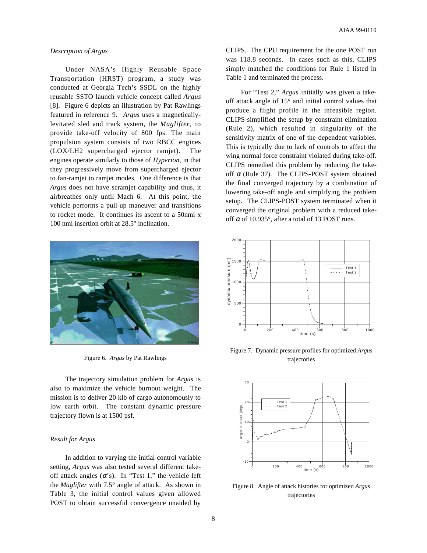#### *Description of Argus*

Under NASA's Highly Reusable Space Transportation (HRST) program, a study was conducted at Georgia Tech's SSDL on the highly reusable SSTO launch vehicle concept called *Argus* [8]. Figure 6 depicts an illustration by Pat Rawlings featured in reference 9. *Argus* uses a magneticallylevitated sled and track system, the *Maglifter*, to provide take-off velocity of 800 fps. The main propulsion system consists of two RBCC engines (LOX/LH2 supercharged ejector ramjet). The engines operate similarly to those of *Hyperion*, in that they progressively move from supercharged ejector to fan-ramjet to ramjet modes. One difference is that *Argus* does not have scramjet capability and thus, it airbreathes only until Mach 6. At this point, the vehicle performs a pull-up maneuver and transitions to rocket mode. It continues its ascent to a 50nmi x 100 nmi insertion orbit at 28.5° inclination.



Figure 6. *Argus* by Pat Rawlings

The trajectory simulation problem for *Argus* is also to maximize the vehicle burnout weight. The mission is to deliver 20 klb of cargo autonomously to low earth orbit. The constant dynamic pressure trajectory flown is at 1500 psf.

## *Result for Argus*

In addition to varying the initial control variable setting, *Argus* was also tested several different takeoff attack angles  $(\alpha's)$ . In "Test 1," the vehicle left the *Maglifter* with 7.5° angle of attack. As shown in Table 3, the initial control values given allowed POST to obtain successful convergence unaided by

CLIPS. The CPU requirement for the one POST run was 118.8 seconds. In cases such as this, CLIPS simply matched the conditions for Rule 1 listed in Table 1 and terminated the process.

For "Test 2," *Argus* initially was given a takeoff attack angle of 15° and initial control values that produce a flight profile in the infeasible region. CLIPS simplified the setup by constraint elimination (Rule 2), which resulted in singularity of the sensitivity matrix of one of the dependent variables. This is typically due to lack of controls to affect the wing normal force constraint violated during take-off. CLIPS remedied this problem by reducing the takeoff  $\alpha$  (Rule 37). The CLIPS-POST system obtained the final converged trajectory by a combination of lowering take-off angle and simplifying the problem setup. The CLIPS-POST system terminated when it converged the original problem with a reduced takeoff  $\alpha$  of 10.935°, after a total of 13 POST runs.



Figure 7. Dynamic pressure profiles for optimized *Argus* trajectories



Figure 8. Angle of attack histories for optimized *Argus* trajectories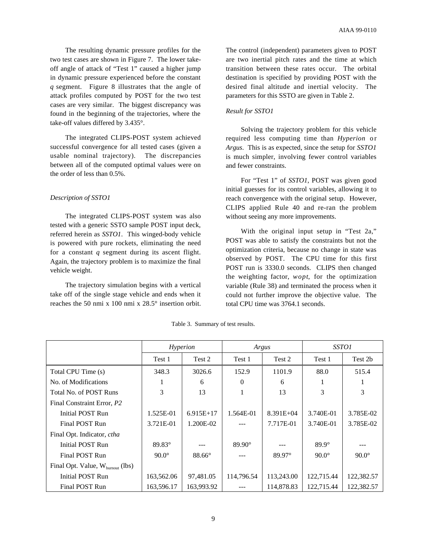The resulting dynamic pressure profiles for the two test cases are shown in Figure 7. The lower takeoff angle of attack of "Test 1" caused a higher jump in dynamic pressure experienced before the constant *q* segment. Figure 8 illustrates that the angle of attack profiles computed by POST for the two test cases are very similar. The biggest discrepancy was found in the beginning of the trajectories, where the take-off values differed by 3.435°.

The integrated CLIPS-POST system achieved successful convergence for all tested cases (given a usable nominal trajectory). The discrepancies between all of the computed optimal values were on the order of less than 0.5%.

## *Description of SSTO1*

The integrated CLIPS-POST system was also tested with a generic SSTO sample POST input deck, referred herein as *SSTO1*. This winged-body vehicle is powered with pure rockets, eliminating the need for a constant *q* segment during its ascent flight. Again, the trajectory problem is to maximize the final vehicle weight.

The trajectory simulation begins with a vertical take off of the single stage vehicle and ends when it reaches the 50 nmi x 100 nmi x 28.5° insertion orbit. The control (independent) parameters given to POST are two inertial pitch rates and the time at which transition between these rates occur. The orbital destination is specified by providing POST with the desired final altitude and inertial velocity. The parameters for this SSTO are given in Table 2.

# *Result for SSTO1*

Solving the trajectory problem for this vehicle required less computing time than *Hyperion* or *Argus*. This is as expected, since the setup for *SSTO1* is much simpler, involving fewer control variables and fewer constraints.

For "Test 1" of *SSTO1*, POST was given good initial guesses for its control variables, allowing it to reach convergence with the original setup. However, CLIPS applied Rule 40 and re-ran the problem without seeing any more improvements.

With the original input setup in "Test 2a," POST was able to satisfy the constraints but not the optimization criteria, because no change in state was observed by POST. The CPU time for this first POST run is 3330.0 seconds. CLIPS then changed the weighting factor, *wopt*, for the optimization variable (Rule 38) and terminated the process when it could not further improve the objective value. The total CPU time was 3764.1 seconds.

|                                              | Hyperion     |               | Argus           |             | <i>SSTO1</i> |              |
|----------------------------------------------|--------------|---------------|-----------------|-------------|--------------|--------------|
|                                              | Test 1       | Test 2        | Test 1          | Test 2      | Test 1       | Test 2b      |
| Total CPU Time (s)                           | 348.3        | 3026.6        | 152.9           | 1101.9      | 88.0         | 515.4        |
| No. of Modifications                         |              | 6             | 0               | 6           |              |              |
| Total No. of POST Runs                       | 3            | 13            |                 | 13          | 3            | 3            |
| Final Constraint Error, P2                   |              |               |                 |             |              |              |
| Initial POST Run                             | 1.525E-01    | $6.915E+17$   | 1.564E-01       | $8.391E+04$ | 3.740E-01    | 3.785E-02    |
| Final POST Run                               | 3.721E-01    | 1.200E-02     |                 | 7.717E-01   | 3.740E-01    | 3.785E-02    |
| Final Opt. Indicator, ctha                   |              |               |                 |             |              |              |
| Initial POST Run                             | 89.83°       |               | $89.90^{\circ}$ |             | $89.9^\circ$ |              |
| Final POST Run                               | $90.0^\circ$ | $88.66^\circ$ |                 | 89.97°      | $90.0^\circ$ | $90.0^\circ$ |
| Final Opt. Value, $W_{\text{burnout}}$ (lbs) |              |               |                 |             |              |              |
| <b>Initial POST Run</b>                      | 163,562.06   | 97,481.05     | 114,796.54      | 113,243.00  | 122,715.44   | 122,382.57   |
| Final POST Run                               | 163,596.17   | 163,993.92    |                 | 114,878.83  | 122,715.44   | 122,382.57   |

Table 3. Summary of test results.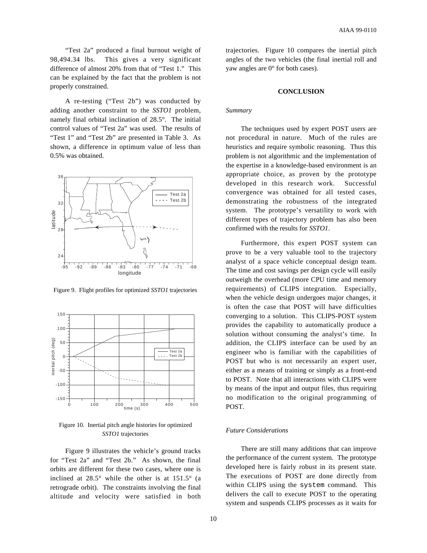"Test 2a" produced a final burnout weight of 98,494.34 lbs. This gives a very significant difference of almost 20% from that of "Test 1." This can be explained by the fact that the problem is not properly constrained.

A re-testing ("Test 2b") was conducted by adding another constraint to the *SSTO1* problem, namely final orbital inclination of 28.5°. The initial control values of "Test 2a" was used. The results of "Test 1" and "Test 2b" are presented in Table 3. As shown, a difference in optimum value of less than 0.5% was obtained.



Figure 9. Flight profiles for optimized *SSTO1* trajectories



Figure 10. Inertial pitch angle histories for optimized *SSTO1* trajectories

Figure 9 illustrates the vehicle's ground tracks for "Test 2a" and "Test 2b." As shown, the final orbits are different for these two cases, where one is inclined at  $28.5^\circ$  while the other is at  $151.5^\circ$  (a retrograde orbit). The constraints involving the final altitude and velocity were satisfied in both trajectories. Figure 10 compares the inertial pitch angles of the two vehicles (the final inertial roll and yaw angles are 0° for both cases).

## **CONCLUSION**

## *Summary*

The techniques used by expert POST users are not procedural in nature. Much of the rules are heuristics and require symbolic reasoning. Thus this problem is not algorithmic and the implementation of the expertise in a knowledge-based environment is an appropriate choice, as proven by the prototype developed in this research work. Successful convergence was obtained for all tested cases, demonstrating the robustness of the integrated system. The prototype's versatility to work with different types of trajectory problem has also been confirmed with the results for *SSTO1*.

Furthermore, this expert POST system can prove to be a very valuable tool to the trajectory analyst of a space vehicle conceptual design team. The time and cost savings per design cycle will easily outweigh the overhead (more CPU time and memory requirements) of CLIPS integration. Especially, when the vehicle design undergoes major changes, it is often the case that POST will have difficulties converging to a solution. This CLIPS-POST system provides the capability to automatically produce a solution without consuming the analyst's time. In addition, the CLIPS interface can be used by an engineer who is familiar with the capabilities of POST but who is not necessarily an expert user, either as a means of training or simply as a front-end to POST. Note that all interactions with CLIPS were by means of the input and output files, thus requiring no modification to the original programming of POST.

# *Future Considerations*

There are still many additions that can improve the performance of the current system. The prototype developed here is fairly robust in its present state. The executions of POST are done directly from within CLIPS using the system command. This delivers the call to execute POST to the operating system and suspends CLIPS processes as it waits for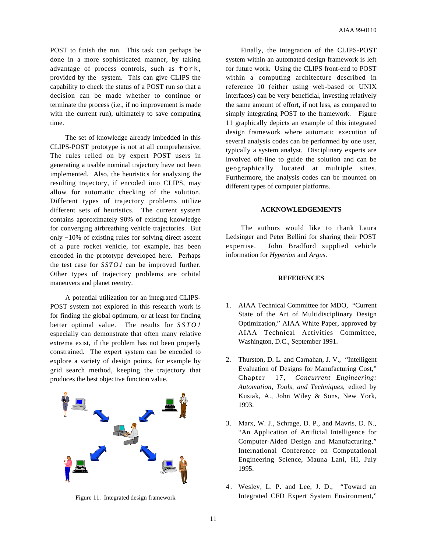POST to finish the run. This task can perhaps be done in a more sophisticated manner, by taking advantage of process controls, such as fork, provided by the system. This can give CLIPS the capability to check the status of a POST run so that a decision can be made whether to continue or terminate the process (i.e., if no improvement is made with the current run), ultimately to save computing time.

The set of knowledge already imbedded in this CLIPS-POST prototype is not at all comprehensive. The rules relied on by expert POST users in generating a usable nominal trajectory have not been implemented. Also, the heuristics for analyzing the resulting trajectory, if encoded into CLIPS, may allow for automatic checking of the solution. Different types of trajectory problems utilize different sets of heuristics. The current system contains approximately 90% of existing knowledge for converging airbreathing vehicle trajectories. But only ~10% of existing rules for solving direct ascent of a pure rocket vehicle, for example, has been encoded in the prototype developed here. Perhaps the test case for *SSTO1* can be improved further. Other types of trajectory problems are orbital maneuvers and planet reentry.

A potential utilization for an integrated CLIPS-POST system not explored in this research work is for finding the global optimum, or at least for finding better optimal value. The results for *SSTO1* especially can demonstrate that often many relative extrema exist, if the problem has not been properly constrained. The expert system can be encoded to explore a variety of design points, for example by grid search method, keeping the trajectory that produces the best objective function value.



Figure 11. Integrated design framework

Finally, the integration of the CLIPS-POST system within an automated design framework is left for future work. Using the CLIPS front-end to POST within a computing architecture described in reference 10 (either using web-based or UNIX interfaces) can be very beneficial, investing relatively the same amount of effort, if not less, as compared to simply integrating POST to the framework. Figure 11 graphically depicts an example of this integrated design framework where automatic execution of several analysis codes can be performed by one user, typically a system analyst. Disciplinary experts are involved off-line to guide the solution and can be geographically located at multiple sites. Furthermore, the analysis codes can be mounted on different types of computer platforms.

## **ACKNOWLEDGEMENTS**

The authors would like to thank Laura Ledsinger and Peter Bellini for sharing their POST expertise. John Bradford supplied vehicle information for *Hyperion* and *Argus*.

## **REFERENCES**

- 1. AIAA Technical Committee for MDO, "Current State of the Art of Multidisciplinary Design Optimization," AIAA White Paper, approved by AIAA Technical Activities Committee, Washington, D.C., September 1991.
- 2. Thurston, D. L. and Carnahan, J. V., "Intelligent Evaluation of Designs for Manufacturing Cost," Chapter 17, *Concurrent Engineering: Automation, Tools, and Techniques*, edited by Kusiak, A., John Wiley & Sons, New York, 1993.
- 3. Marx, W. J., Schrage, D. P., and Mavris, D. N., "An Application of Artificial Intelligence for Computer-Aided Design and Manufacturing," International Conference on Computational Engineering Science, Mauna Lani, HI, July 1995.
- 4 . Wesley, L. P. and Lee, J. D., "Toward an Integrated CFD Expert System Environment,"